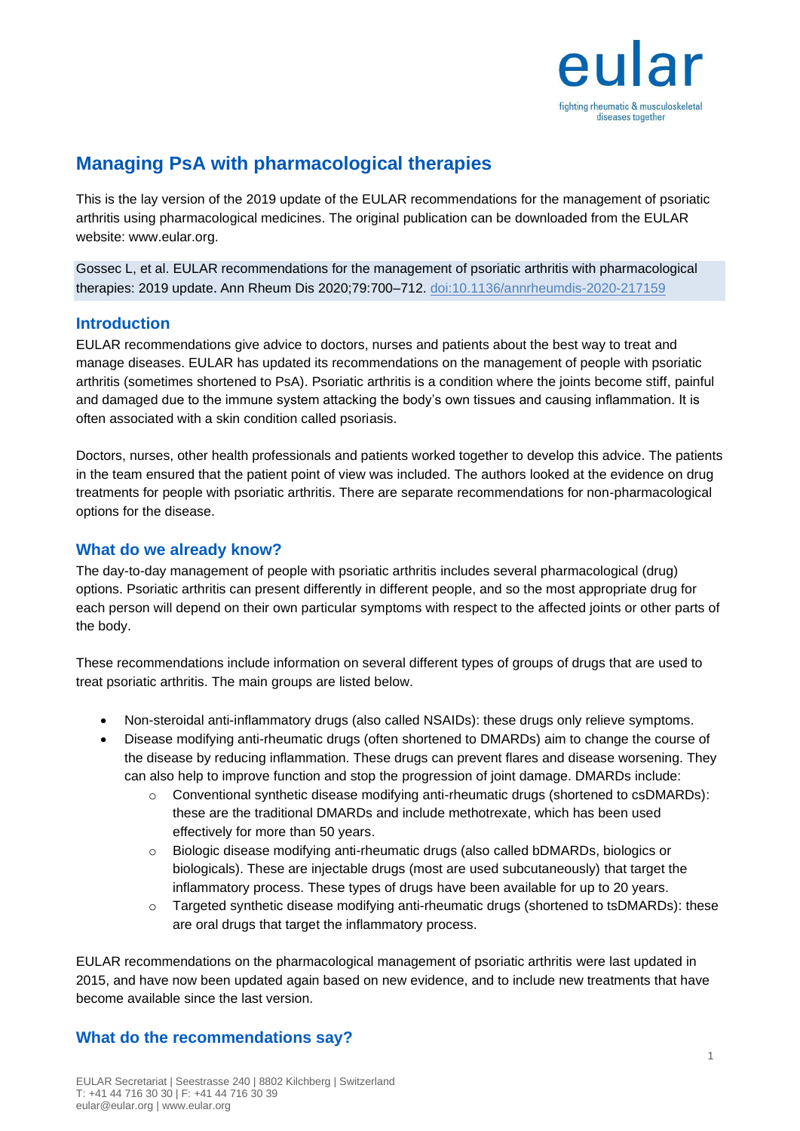

# **Managing PsA with pharmacological therapies**

This is the lay version of the 2019 update of the EULAR recommendations for the management of psoriatic arthritis using pharmacological medicines. The original publication can be downloaded from the EULAR website: www.eular.org.

Gossec L, et al. EULAR recommendations for the management of psoriatic arthritis with pharmacological therapies: 2019 update. Ann Rheum Dis 2020;79:700–712. doi:10.1136/annrheumdis-2020-217159

### **Introduction**

EULAR recommendations give advice to doctors, nurses and patients about the best way to treat and manage diseases. EULAR has updated its recommendations on the management of people with psoriatic arthritis (sometimes shortened to PsA). Psoriatic arthritis is a condition where the joints become stiff, painful and damaged due to the immune system attacking the body's own tissues and causing inflammation. It is often associated with a skin condition called psoriasis.

Doctors, nurses, other health professionals and patients worked together to develop this advice. The patients in the team ensured that the patient point of view was included. The authors looked at the evidence on drug treatments for people with psoriatic arthritis. There are separate recommendations for non-pharmacological options for the disease.

### **What do we already know?**

The day-to-day management of people with psoriatic arthritis includes several pharmacological (drug) options. Psoriatic arthritis can present differently in different people, and so the most appropriate drug for each person will depend on their own particular symptoms with respect to the affected joints or other parts of the body.

These recommendations include information on several different types of groups of drugs that are used to treat psoriatic arthritis. The main groups are listed below.

- Non-steroidal anti-inflammatory drugs (also called NSAIDs): these drugs only relieve symptoms.
- Disease modifying anti-rheumatic drugs (often shortened to DMARDs) aim to change the course of the disease by reducing inflammation. These drugs can prevent flares and disease worsening. They can also help to improve function and stop the progression of joint damage. DMARDs include:
	- $\circ$  Conventional synthetic disease modifying anti-rheumatic drugs (shortened to csDMARDs): these are the traditional DMARDs and include methotrexate, which has been used effectively for more than 50 years.
	- o Biologic disease modifying anti-rheumatic drugs (also called bDMARDs, biologics or biologicals). These are injectable drugs (most are used subcutaneously) that target the inflammatory process. These types of drugs have been available for up to 20 years.
	- $\circ$  Targeted synthetic disease modifying anti-rheumatic drugs (shortened to tsDMARDs): these are oral drugs that target the inflammatory process.

EULAR recommendations on the pharmacological management of psoriatic arthritis were last updated in 2015, and have now been updated again based on new evidence, and to include new treatments that have become available since the last version.

## **What do the recommendations say?**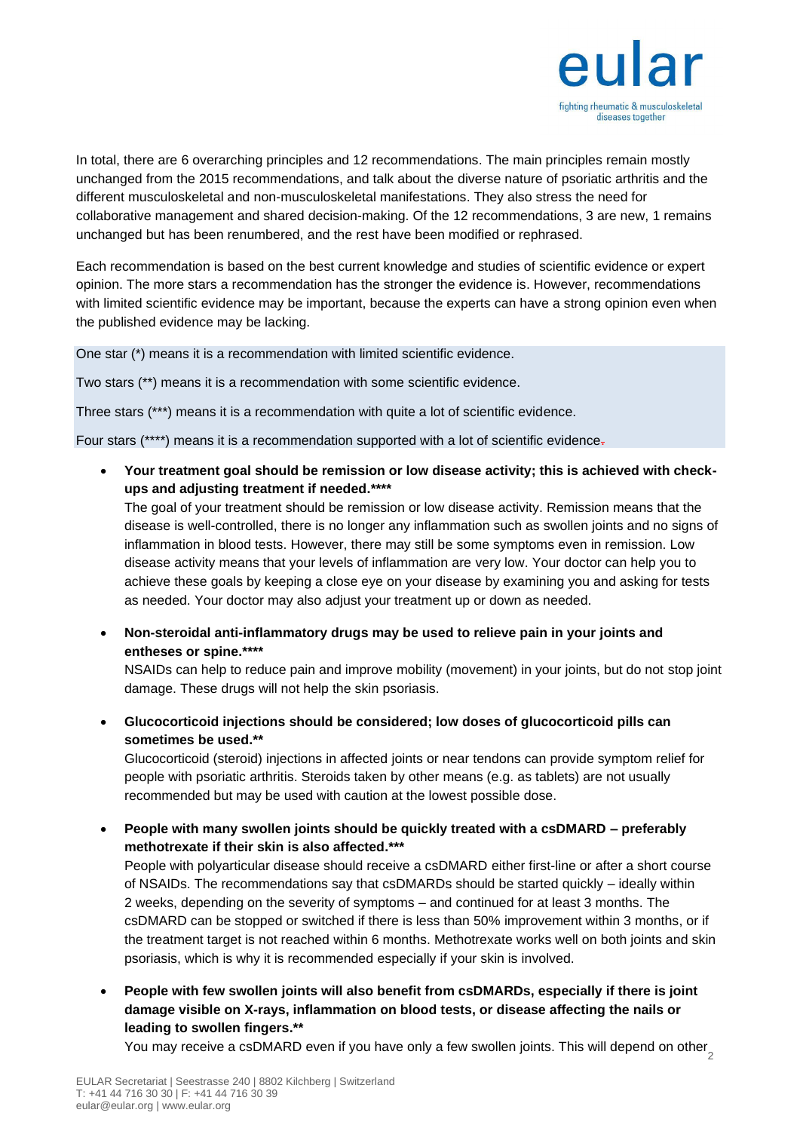

In total, there are 6 overarching principles and 12 recommendations. The main principles remain mostly unchanged from the 2015 recommendations, and talk about the diverse nature of psoriatic arthritis and the different musculoskeletal and non-musculoskeletal manifestations. They also stress the need for collaborative management and shared decision-making. Of the 12 recommendations, 3 are new, 1 remains unchanged but has been renumbered, and the rest have been modified or rephrased.

Each recommendation is based on the best current knowledge and studies of scientific evidence or expert opinion. The more stars a recommendation has the stronger the evidence is. However, recommendations with limited scientific evidence may be important, because the experts can have a strong opinion even when the published evidence may be lacking.

One star (\*) means it is a recommendation with limited scientific evidence.

Two stars (\*\*) means it is a recommendation with some scientific evidence.

Three stars (\*\*\*) means it is a recommendation with quite a lot of scientific evidence.

Four stars (\*\*\*\*) means it is a recommendation supported with a lot of scientific evidence.

• **Your treatment goal should be remission or low disease activity; this is achieved with checkups and adjusting treatment if needed.\*\*\*\***

The goal of your treatment should be remission or low disease activity. Remission means that the disease is well-controlled, there is no longer any inflammation such as swollen joints and no signs of inflammation in blood tests. However, there may still be some symptoms even in remission. Low disease activity means that your levels of inflammation are very low. Your doctor can help you to achieve these goals by keeping a close eye on your disease by examining you and asking for tests as needed. Your doctor may also adjust your treatment up or down as needed.

• **Non-steroidal anti-inflammatory drugs may be used to relieve pain in your joints and entheses or spine.\*\*\*\***

NSAIDs can help to reduce pain and improve mobility (movement) in your joints, but do not stop joint damage. These drugs will not help the skin psoriasis.

• **Glucocorticoid injections should be considered; low doses of glucocorticoid pills can sometimes be used.\*\***

Glucocorticoid (steroid) injections in affected joints or near tendons can provide symptom relief for people with psoriatic arthritis. Steroids taken by other means (e.g. as tablets) are not usually recommended but may be used with caution at the lowest possible dose.

• **People with many swollen joints should be quickly treated with a csDMARD – preferably methotrexate if their skin is also affected.\*\*\*** People with polyarticular disease should receive a csDMARD either first-line or after a short course of NSAIDs. The recommendations say that csDMARDs should be started quickly – ideally within 2 weeks, depending on the severity of symptoms – and continued for at least 3 months. The csDMARD can be stopped or switched if there is less than 50% improvement within 3 months, or if the treatment target is not reached within 6 months. Methotrexate works well on both joints and skin psoriasis, which is why it is recommended especially if your skin is involved.

• **People with few swollen joints will also benefit from csDMARDs, especially if there is joint damage visible on X-rays, inflammation on blood tests, or disease affecting the nails or leading to swollen fingers.\*\***

You may receive a csDMARD even if you have only a few swollen joints. This will depend on other $\frac{1}{2}$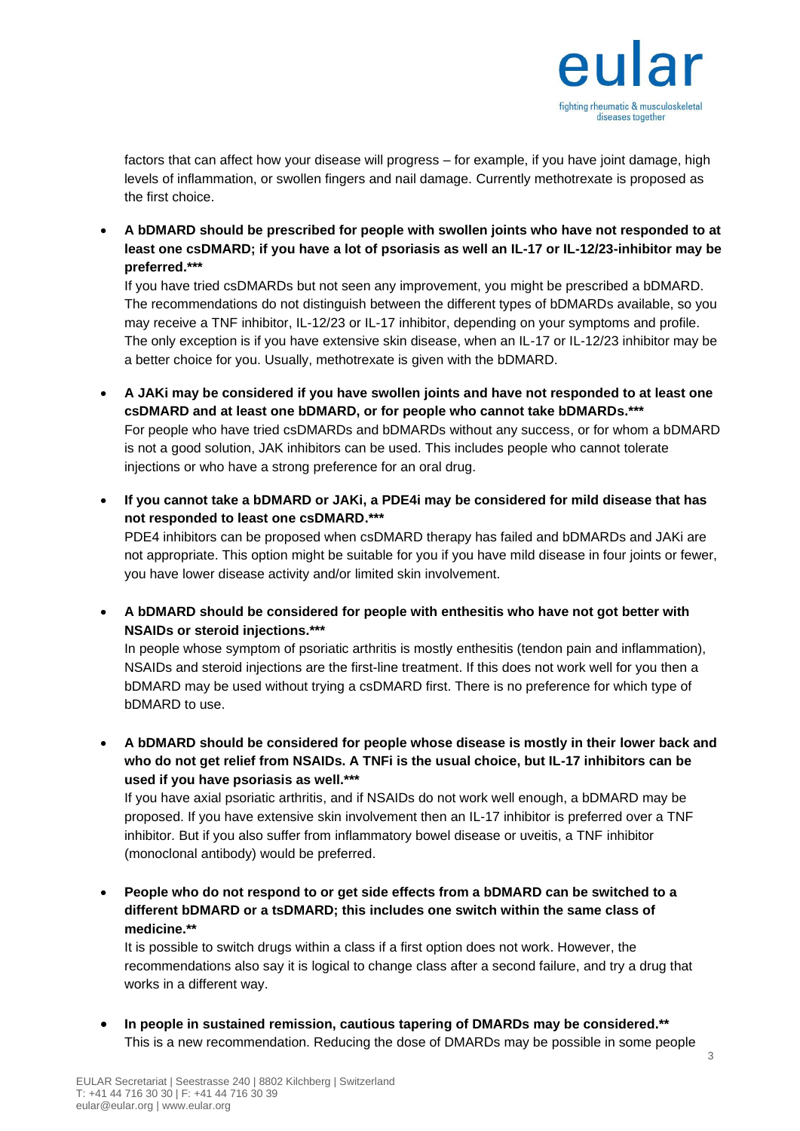

factors that can affect how your disease will progress – for example, if you have joint damage, high levels of inflammation, or swollen fingers and nail damage. Currently methotrexate is proposed as the first choice.

• **A bDMARD should be prescribed for people with swollen joints who have not responded to at least one csDMARD; if you have a lot of psoriasis as well an IL-17 or IL-12/23-inhibitor may be preferred.\*\*\***

If you have tried csDMARDs but not seen any improvement, you might be prescribed a bDMARD. The recommendations do not distinguish between the different types of bDMARDs available, so you may receive a TNF inhibitor, IL-12/23 or IL-17 inhibitor, depending on your symptoms and profile. The only exception is if you have extensive skin disease, when an IL-17 or IL-12/23 inhibitor may be a better choice for you. Usually, methotrexate is given with the bDMARD.

- **A JAKi may be considered if you have swollen joints and have not responded to at least one csDMARD and at least one bDMARD, or for people who cannot take bDMARDs.\*\*\***  For people who have tried csDMARDs and bDMARDs without any success, or for whom a bDMARD is not a good solution, JAK inhibitors can be used. This includes people who cannot tolerate injections or who have a strong preference for an oral drug.
- **If you cannot take a bDMARD or JAKi, a PDE4i may be considered for mild disease that has not responded to least one csDMARD.\*\*\*** PDE4 inhibitors can be proposed when csDMARD therapy has failed and bDMARDs and JAKi are not appropriate. This option might be suitable for you if you have mild disease in four joints or fewer, you have lower disease activity and/or limited skin involvement.
- **A bDMARD should be considered for people with enthesitis who have not got better with NSAIDs or steroid injections.\*\*\***

In people whose symptom of psoriatic arthritis is mostly enthesitis (tendon pain and inflammation), NSAIDs and steroid injections are the first-line treatment. If this does not work well for you then a bDMARD may be used without trying a csDMARD first. There is no preference for which type of bDMARD to use.

• **A bDMARD should be considered for people whose disease is mostly in their lower back and who do not get relief from NSAIDs. A TNFi is the usual choice, but IL-17 inhibitors can be used if you have psoriasis as well.\*\*\***

If you have axial psoriatic arthritis, and if NSAIDs do not work well enough, a bDMARD may be proposed. If you have extensive skin involvement then an IL-17 inhibitor is preferred over a TNF inhibitor. But if you also suffer from inflammatory bowel disease or uveitis, a TNF inhibitor (monoclonal antibody) would be preferred.

• **People who do not respond to or get side effects from a bDMARD can be switched to a different bDMARD or a tsDMARD; this includes one switch within the same class of medicine.\*\***

It is possible to switch drugs within a class if a first option does not work. However, the recommendations also say it is logical to change class after a second failure, and try a drug that works in a different way.

• **In people in sustained remission, cautious tapering of DMARDs may be considered.\*\*** This is a new recommendation. Reducing the dose of DMARDs may be possible in some people